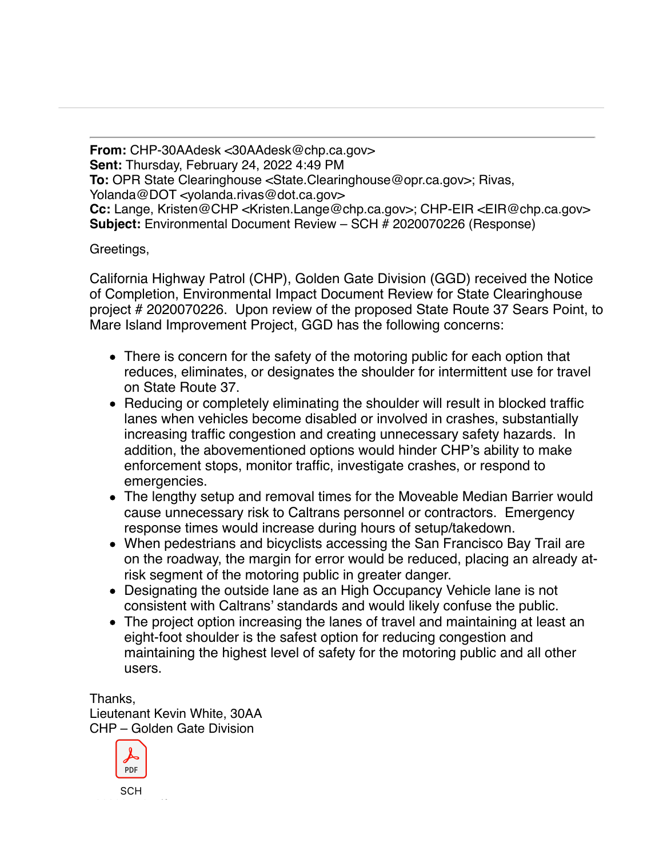**From:** CHP-30AAdesk <30AAdesk@chp.ca.gov> **Sent:** Thursday, February 24, 2022 4:49 PM **To:** OPR State Clearinghouse <State.Clearinghouse@opr.ca.gov>; Rivas, Yolanda@DOT <yolanda.rivas@dot.ca.gov> **Cc:** Lange, Kristen@CHP <Kristen.Lange@chp.ca.gov>; CHP-EIR <EIR@chp.ca.gov> **Subject:** Environmental Document Review – SCH # 2020070226 (Response)

Greetings,

California Highway Patrol (CHP), Golden Gate Division (GGD) received the Notice of Completion, Environmental Impact Document Review for State Clearinghouse project # 2020070226. Upon review of the proposed State Route 37 Sears Point, to Mare Island Improvement Project, GGD has the following concerns:

- There is concern for the safety of the motoring public for each option that reduces, eliminates, or designates the shoulder for intermittent use for travel on State Route 37.
- Reducing or completely eliminating the shoulder will result in blocked traffic lanes when vehicles become disabled or involved in crashes, substantially increasing traffic congestion and creating unnecessary safety hazards. In addition, the abovementioned options would hinder CHP's ability to make enforcement stops, monitor traffic, investigate crashes, or respond to emergencies.
- The lengthy setup and removal times for the Moveable Median Barrier would cause unnecessary risk to Caltrans personnel or contractors. Emergency response times would increase during hours of setup/takedown.
- When pedestrians and bicyclists accessing the San Francisco Bay Trail are on the roadway, the margin for error would be reduced, placing an already atrisk segment of the motoring public in greater danger.
- Designating the outside lane as an High Occupancy Vehicle lane is not consistent with Caltrans' standards and would likely confuse the public.
- The project option increasing the lanes of travel and maintaining at least an eight-foot shoulder is the safest option for reducing congestion and maintaining the highest level of safety for the motoring public and all other users.

Thanks, Lieutenant Kevin White, 30AA CHP – Golden Gate Division



**SCH**